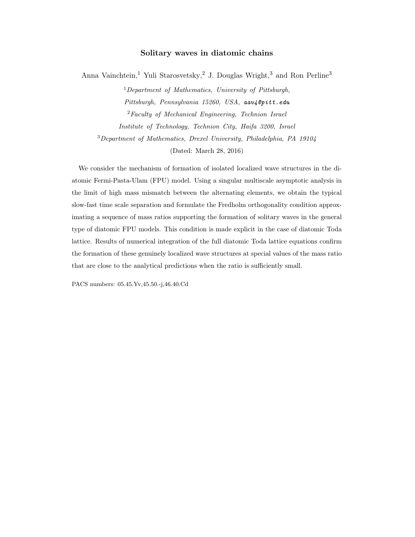# Solitary waves in diatomic chains

Anna Vainchtein,<sup>1</sup> Yuli Starosvetsky,<sup>2</sup> J. Douglas Wright,<sup>3</sup> and Ron Perline<sup>3</sup>

 $1$ Department of Mathematics, University of Pittsburgh, Pittsburgh, Pennsylvania 15260, USA, aav4@pitt.edu <sup>2</sup>Faculty of Mechanical Engineering, Technion Israel Institute of Technology, Technion City, Haifa 3200, Israel <sup>3</sup>Department of Mathematics, Drexel University, Philadelphia, PA 19104 (Dated: March 28, 2016)

We consider the mechanism of formation of isolated localized wave structures in the diatomic Fermi-Pasta-Ulam (FPU) model. Using a singular multiscale asymptotic analysis in the limit of high mass mismatch between the alternating elements, we obtain the typical slow-fast time scale separation and formulate the Fredholm orthogonality condition approximating a sequence of mass ratios supporting the formation of solitary waves in the general type of diatomic FPU models. This condition is made explicit in the case of diatomic Toda lattice. Results of numerical integration of the full diatomic Toda lattice equations confirm the formation of these genuinely localized wave structures at special values of the mass ratio that are close to the analytical predictions when the ratio is sufficiently small.

PACS numbers: 05.45.Yv,45.50.-j,46.40.Cd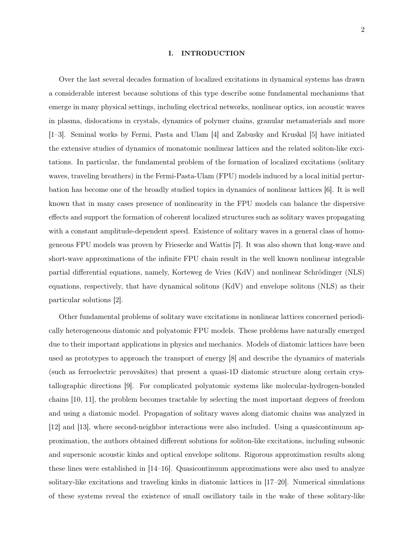#### I. INTRODUCTION

Over the last several decades formation of localized excitations in dynamical systems has drawn a considerable interest because solutions of this type describe some fundamental mechanisms that emerge in many physical settings, including electrical networks, nonlinear optics, ion acoustic waves in plasma, dislocations in crystals, dynamics of polymer chains, granular metamaterials and more [1–3]. Seminal works by Fermi, Pasta and Ulam [4] and Zabusky and Kruskal [5] have initiated the extensive studies of dynamics of monatomic nonlinear lattices and the related soliton-like excitations. In particular, the fundamental problem of the formation of localized excitations (solitary waves, traveling breathers) in the Fermi-Pasta-Ulam (FPU) models induced by a local initial perturbation has become one of the broadly studied topics in dynamics of nonlinear lattices [6]. It is well known that in many cases presence of nonlinearity in the FPU models can balance the dispersive effects and support the formation of coherent localized structures such as solitary waves propagating with a constant amplitude-dependent speed. Existence of solitary waves in a general class of homogeneous FPU models was proven by Friesecke and Wattis [7]. It was also shown that long-wave and short-wave approximations of the infinite FPU chain result in the well known nonlinear integrable partial differential equations, namely, Korteweg de Vries (KdV) and nonlinear Schrödinger (NLS) equations, respectively, that have dynamical solitons (KdV) and envelope solitons (NLS) as their particular solutions [2].

Other fundamental problems of solitary wave excitations in nonlinear lattices concerned periodically heterogeneous diatomic and polyatomic FPU models. These problems have naturally emerged due to their important applications in physics and mechanics. Models of diatomic lattices have been used as prototypes to approach the transport of energy [8] and describe the dynamics of materials (such as ferroelectric perovskites) that present a quasi-1D diatomic structure along certain crystallographic directions [9]. For complicated polyatomic systems like molecular-hydrogen-bonded chains [10, 11], the problem becomes tractable by selecting the most important degrees of freedom and using a diatomic model. Propagation of solitary waves along diatomic chains was analyzed in [12] and [13], where second-neighbor interactions were also included. Using a quasicontinuum approximation, the authors obtained different solutions for soliton-like excitations, including subsonic and supersonic acoustic kinks and optical envelope solitons. Rigorous approximation results along these lines were established in [14–16]. Quasicontinuum approximations were also used to analyze solitary-like excitations and traveling kinks in diatomic lattices in [17–20]. Numerical simulations of these systems reveal the existence of small oscillatory tails in the wake of these solitary-like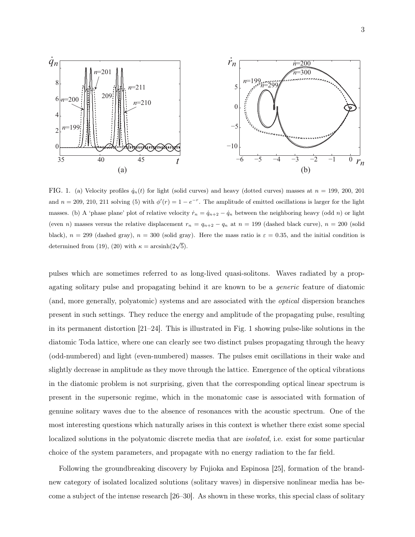3



FIG. 1. (a) Velocity profiles  $\dot{q}_n(t)$  for light (solid curves) and heavy (dotted curves) masses at  $n = 199, 200, 201$ and  $n = 209, 210, 211$  solving (5) with  $\phi'(r) = 1 - e^{-r}$ . The amplitude of emitted oscillations is larger for the light masses. (b) A 'phase plane' plot of relative velocity  $\dot{r}_n = \dot{q}_{n+2} - \dot{q}_n$  between the neighboring heavy (odd n) or light (even n) masses versus the relative displacement  $r_n = q_{n+2} - q_n$  at  $n = 199$  (dashed black curve),  $n = 200$  (solid black),  $n = 299$  (dashed gray),  $n = 300$  (solid gray). Here the mass ratio is  $\varepsilon = 0.35$ , and the initial condition is determined from (19), (20) with  $\kappa = \arcsinh(2\sqrt{5})$ .

pulses which are sometimes referred to as long-lived quasi-solitons. Waves radiated by a propagating solitary pulse and propagating behind it are known to be a generic feature of diatomic (and, more generally, polyatomic) systems and are associated with the optical dispersion branches present in such settings. They reduce the energy and amplitude of the propagating pulse, resulting in its permanent distortion  $[21-24]$ . This is illustrated in Fig. 1 showing pulse-like solutions in the diatomic Toda lattice, where one can clearly see two distinct pulses propagating through the heavy (odd-numbered) and light (even-numbered) masses. The pulses emit oscillations in their wake and slightly decrease in amplitude as they move through the lattice. Emergence of the optical vibrations in the diatomic problem is not surprising, given that the corresponding optical linear spectrum is present in the supersonic regime, which in the monatomic case is associated with formation of genuine solitary waves due to the absence of resonances with the acoustic spectrum. One of the most interesting questions which naturally arises in this context is whether there exist some special localized solutions in the polyatomic discrete media that are isolated, i.e. exist for some particular choice of the system parameters, and propagate with no energy radiation to the far field.

Following the groundbreaking discovery by Fujioka and Espinosa [25], formation of the brandnew category of isolated localized solutions (solitary waves) in dispersive nonlinear media has become a subject of the intense research [26–30]. As shown in these works, this special class of solitary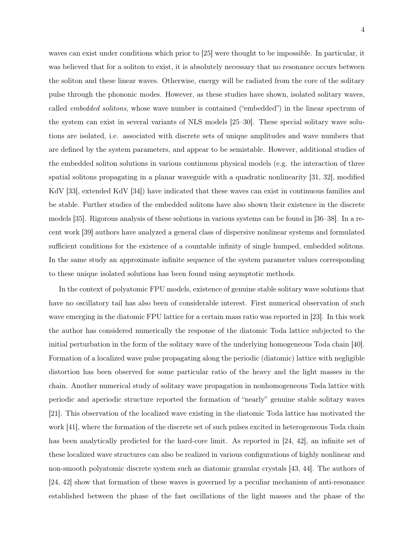waves can exist under conditions which prior to [25] were thought to be impossible. In particular, it was believed that for a soliton to exist, it is absolutely necessary that no resonance occurs between the soliton and these linear waves. Otherwise, energy will be radiated from the core of the solitary pulse through the phononic modes. However, as these studies have shown, isolated solitary waves, called embedded solitons, whose wave number is contained ("embedded") in the linear spectrum of the system can exist in several variants of NLS models [25–30]. These special solitary wave solutions are isolated, i.e. associated with discrete sets of unique amplitudes and wave numbers that are defined by the system parameters, and appear to be semistable. However, additional studies of the embedded soliton solutions in various continuous physical models (e.g. the interaction of three spatial solitons propagating in a planar waveguide with a quadratic nonlinearity [31, 32], modified KdV [33], extended KdV [34]) have indicated that these waves can exist in continuous families and be stable. Further studies of the embedded solitons have also shown their existence in the discrete models [35]. Rigorous analysis of these solutions in various systems can be found in [36–38]. In a recent work [39] authors have analyzed a general class of dispersive nonlinear systems and formulated sufficient conditions for the existence of a countable infinity of single humped, embedded solitons. In the same study an approximate infinite sequence of the system parameter values corresponding to these unique isolated solutions has been found using asymptotic methods.

In the context of polyatomic FPU models, existence of genuine stable solitary wave solutions that have no oscillatory tail has also been of considerable interest. First numerical observation of such wave emerging in the diatomic FPU lattice for a certain mass ratio was reported in [23]. In this work the author has considered numerically the response of the diatomic Toda lattice subjected to the initial perturbation in the form of the solitary wave of the underlying homogeneous Toda chain [40]. Formation of a localized wave pulse propagating along the periodic (diatomic) lattice with negligible distortion has been observed for some particular ratio of the heavy and the light masses in the chain. Another numerical study of solitary wave propagation in nonhomogeneous Toda lattice with periodic and aperiodic structure reported the formation of "nearly" genuine stable solitary waves [21]. This observation of the localized wave existing in the diatomic Toda lattice has motivated the work [41], where the formation of the discrete set of such pulses excited in heterogeneous Toda chain has been analytically predicted for the hard-core limit. As reported in [24, 42], an infinite set of these localized wave structures can also be realized in various configurations of highly nonlinear and non-smooth polyatomic discrete system such as diatomic granular crystals [43, 44]. The authors of [24, 42] show that formation of these waves is governed by a peculiar mechanism of anti-resonance established between the phase of the fast oscillations of the light masses and the phase of the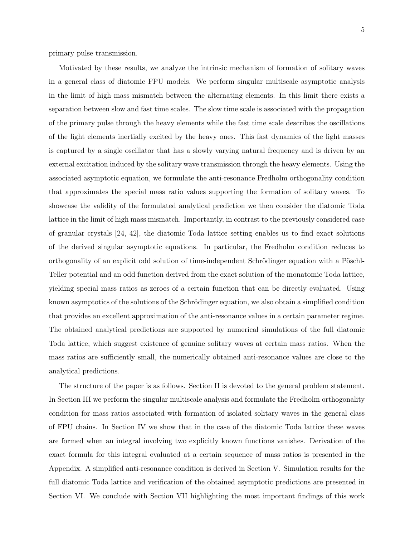primary pulse transmission.

Motivated by these results, we analyze the intrinsic mechanism of formation of solitary waves in a general class of diatomic FPU models. We perform singular multiscale asymptotic analysis in the limit of high mass mismatch between the alternating elements. In this limit there exists a separation between slow and fast time scales. The slow time scale is associated with the propagation of the primary pulse through the heavy elements while the fast time scale describes the oscillations of the light elements inertially excited by the heavy ones. This fast dynamics of the light masses is captured by a single oscillator that has a slowly varying natural frequency and is driven by an external excitation induced by the solitary wave transmission through the heavy elements. Using the associated asymptotic equation, we formulate the anti-resonance Fredholm orthogonality condition that approximates the special mass ratio values supporting the formation of solitary waves. To showcase the validity of the formulated analytical prediction we then consider the diatomic Toda lattice in the limit of high mass mismatch. Importantly, in contrast to the previously considered case of granular crystals [24, 42], the diatomic Toda lattice setting enables us to find exact solutions of the derived singular asymptotic equations. In particular, the Fredholm condition reduces to orthogonality of an explicit odd solution of time-independent Schrödinger equation with a Pöschl-Teller potential and an odd function derived from the exact solution of the monatomic Toda lattice, yielding special mass ratios as zeroes of a certain function that can be directly evaluated. Using known asymptotics of the solutions of the Schrödinger equation, we also obtain a simplified condition that provides an excellent approximation of the anti-resonance values in a certain parameter regime. The obtained analytical predictions are supported by numerical simulations of the full diatomic Toda lattice, which suggest existence of genuine solitary waves at certain mass ratios. When the mass ratios are sufficiently small, the numerically obtained anti-resonance values are close to the analytical predictions.

The structure of the paper is as follows. Section II is devoted to the general problem statement. In Section III we perform the singular multiscale analysis and formulate the Fredholm orthogonality condition for mass ratios associated with formation of isolated solitary waves in the general class of FPU chains. In Section IV we show that in the case of the diatomic Toda lattice these waves are formed when an integral involving two explicitly known functions vanishes. Derivation of the exact formula for this integral evaluated at a certain sequence of mass ratios is presented in the Appendix. A simplified anti-resonance condition is derived in Section V. Simulation results for the full diatomic Toda lattice and verification of the obtained asymptotic predictions are presented in Section VI. We conclude with Section VII highlighting the most important findings of this work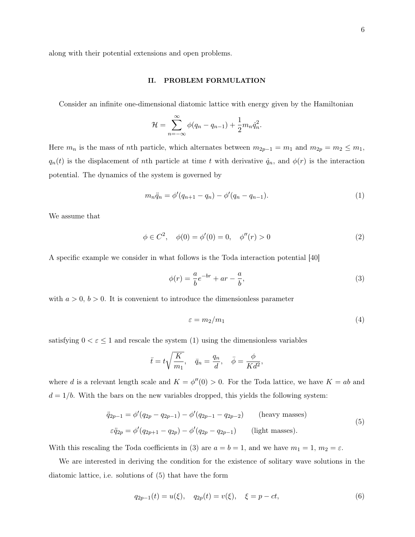along with their potential extensions and open problems.

#### II. PROBLEM FORMULATION

Consider an infinite one-dimensional diatomic lattice with energy given by the Hamiltonian

$$
\mathcal{H} = \sum_{n=-\infty}^{\infty} \phi(q_n - q_{n-1}) + \frac{1}{2} m_n \dot{q}_n^2.
$$

Here  $m_n$  is the mass of nth particle, which alternates between  $m_{2p-1} = m_1$  and  $m_{2p} = m_2 \le m_1$ ,  $q_n(t)$  is the displacement of nth particle at time t with derivative  $\dot{q}_n$ , and  $\phi(r)$  is the interaction potential. The dynamics of the system is governed by

$$
m_n \ddot{q}_n = \phi'(q_{n+1} - q_n) - \phi'(q_n - q_{n-1}).
$$
\n(1)

We assume that

$$
\phi \in C^2, \quad \phi(0) = \phi'(0) = 0, \quad \phi''(r) > 0 \tag{2}
$$

A specific example we consider in what follows is the Toda interaction potential [40]

$$
\phi(r) = \frac{a}{b}e^{-br} + ar - \frac{a}{b},\tag{3}
$$

with  $a > 0$ ,  $b > 0$ . It is convenient to introduce the dimensionless parameter

$$
\varepsilon = m_2/m_1 \tag{4}
$$

satisfying  $0 < \varepsilon \leq 1$  and rescale the system (1) using the dimensionless variables

$$
\bar{t} = t\sqrt{\frac{K}{m_1}}, \quad \bar{q}_n = \frac{q_n}{d}, \quad \bar{\phi} = \frac{\phi}{Kd^2},
$$

where d is a relevant length scale and  $K = \phi''(0) > 0$ . For the Toda lattice, we have  $K = ab$  and  $d = 1/b$ . With the bars on the new variables dropped, this yields the following system:

$$
\ddot{q}_{2p-1} = \phi'(q_{2p} - q_{2p-1}) - \phi'(q_{2p-1} - q_{2p-2}) \quad \text{(heavy masses)}
$$
\n
$$
\varepsilon \ddot{q}_{2p} = \phi'(q_{2p+1} - q_{2p}) - \phi'(q_{2p} - q_{2p-1}) \quad \text{(light masses)}.
$$
\n(5)

With this rescaling the Toda coefficients in (3) are  $a = b = 1$ , and we have  $m_1 = 1$ ,  $m_2 = \varepsilon$ .

We are interested in deriving the condition for the existence of solitary wave solutions in the diatomic lattice, i.e. solutions of (5) that have the form

$$
q_{2p-1}(t) = u(\xi), \quad q_{2p}(t) = v(\xi), \quad \xi = p - ct,
$$
\n(6)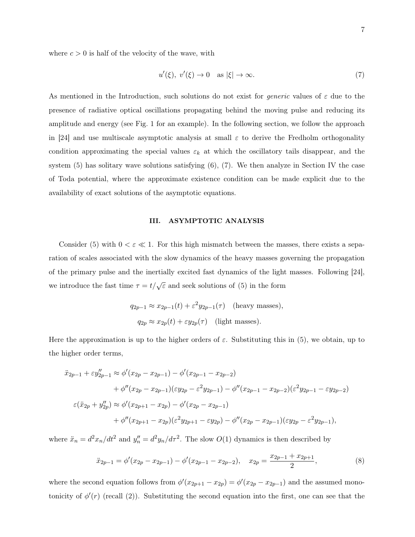where  $c > 0$  is half of the velocity of the wave, with

$$
u'(\xi), v'(\xi) \to 0 \quad \text{as } |\xi| \to \infty. \tag{7}
$$

As mentioned in the Introduction, such solutions do not exist for *generic* values of  $\varepsilon$  due to the presence of radiative optical oscillations propagating behind the moving pulse and reducing its amplitude and energy (see Fig. 1 for an example). In the following section, we follow the approach in [24] and use multiscale asymptotic analysis at small  $\varepsilon$  to derive the Fredholm orthogonality condition approximating the special values  $\varepsilon_k$  at which the oscillatory tails disappear, and the system (5) has solitary wave solutions satisfying (6), (7). We then analyze in Section IV the case of Toda potential, where the approximate existence condition can be made explicit due to the availability of exact solutions of the asymptotic equations.

# III. ASYMPTOTIC ANALYSIS

Consider (5) with  $0 < \varepsilon \ll 1$ . For this high mismatch between the masses, there exists a separation of scales associated with the slow dynamics of the heavy masses governing the propagation of the primary pulse and the inertially excited fast dynamics of the light masses. Following [24], we introduce the fast time  $\tau = t/\sqrt{\varepsilon}$  and seek solutions of (5) in the form

$$
q_{2p-1} \approx x_{2p-1}(t) + \varepsilon^2 y_{2p-1}(\tau)
$$
 (heavy masses),  
 $q_{2p} \approx x_{2p}(t) + \varepsilon y_{2p}(\tau)$  (light masses).

Here the approximation is up to the higher orders of  $\varepsilon$ . Substituting this in (5), we obtain, up to the higher order terms,

$$
\ddot{x}_{2p-1} + \varepsilon y_{2p-1}'' \approx \phi'(x_{2p} - x_{2p-1}) - \phi'(x_{2p-1} - x_{2p-2})
$$
  
+ 
$$
\phi''(x_{2p} - x_{2p-1})(\varepsilon y_{2p} - \varepsilon^2 y_{2p-1}) - \phi''(x_{2p-1} - x_{2p-2})(\varepsilon^2 y_{2p-1} - \varepsilon y_{2p-2})
$$
  

$$
\varepsilon(\ddot{x}_{2p} + y_{2p}'') \approx \phi'(x_{2p+1} - x_{2p}) - \phi'(x_{2p} - x_{2p-1})
$$
  
+ 
$$
\phi''(x_{2p+1} - x_{2p})(\varepsilon^2 y_{2p+1} - \varepsilon y_{2p}) - \phi''(x_{2p} - x_{2p-1})(\varepsilon y_{2p} - \varepsilon^2 y_{2p-1}),
$$

where  $\ddot{x}_n = d^2x_n/dt^2$  and  $y''_n = d^2y_n/d\tau^2$ . The slow  $O(1)$  dynamics is then described by

$$
\ddot{x}_{2p-1} = \phi'(x_{2p} - x_{2p-1}) - \phi'(x_{2p-1} - x_{2p-2}), \quad x_{2p} = \frac{x_{2p-1} + x_{2p+1}}{2},\tag{8}
$$

where the second equation follows from  $\phi'(x_{2p+1} - x_{2p}) = \phi'(x_{2p} - x_{2p-1})$  and the assumed monotonicity of  $\phi'(r)$  (recall (2)). Substituting the second equation into the first, one can see that the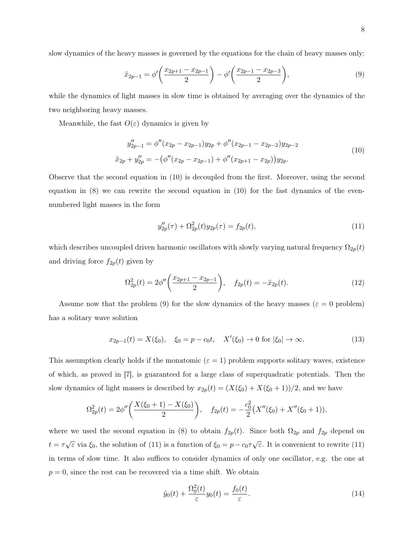slow dynamics of the heavy masses is governed by the equations for the chain of heavy masses only:

$$
\ddot{x}_{2p-1} = \phi' \left( \frac{x_{2p+1} - x_{2p-1}}{2} \right) - \phi' \left( \frac{x_{2p-1} - x_{2p-3}}{2} \right),\tag{9}
$$

while the dynamics of light masses in slow time is obtained by averaging over the dynamics of the two neighboring heavy masses.

Meanwhile, the fast  $O(\varepsilon)$  dynamics is given by

$$
y''_{2p-1} = \phi''(x_{2p} - x_{2p-1})y_{2p} + \phi''(x_{2p-1} - x_{2p-2})y_{2p-2}
$$
  

$$
\ddot{x}_{2p} + y''_{2p} = -(\phi''(x_{2p} - x_{2p-1}) + \phi''(x_{2p+1} - x_{2p}))y_{2p}.
$$

$$
(10)
$$

Observe that the second equation in (10) is decoupled from the first. Moreover, using the second equation in  $(8)$  we can rewrite the second equation in  $(10)$  for the fast dynamics of the evennumbered light masses in the form

$$
y_{2p}''(\tau) + \Omega_{2p}^2(t)y_{2p}(\tau) = f_{2p}(t),\tag{11}
$$

which describes uncoupled driven harmonic oscillators with slowly varying natural frequency  $\Omega_{2p}(t)$ and driving force  $f_{2p}(t)$  given by

$$
\Omega_{2p}^2(t) = 2\phi''\bigg(\frac{x_{2p+1} - x_{2p-1}}{2}\bigg), \quad f_{2p}(t) = -\ddot{x}_{2p}(t). \tag{12}
$$

Assume now that the problem (9) for the slow dynamics of the heavy masses ( $\varepsilon = 0$  problem) has a solitary wave solution

$$
x_{2p-1}(t) = X(\xi_0), \quad \xi_0 = p - c_0 t, \quad X'(\xi_0) \to 0 \text{ for } |\xi_0| \to \infty.
$$
 (13)

This assumption clearly holds if the monatomic ( $\varepsilon = 1$ ) problem supports solitary waves, existence of which, as proved in [7], is guaranteed for a large class of superquadratic potentials. Then the slow dynamics of light masses is described by  $x_{2p}(t) = (X(\xi_0) + X(\xi_0 + 1))/2$ , and we have

$$
\Omega_{2p}^2(t) = 2\phi''\bigg(\frac{X(\xi_0+1)-X(\xi_0)}{2}\bigg), \quad f_{2p}(t) = -\frac{c_0^2}{2}(X''(\xi_0)+X''(\xi_0+1)),
$$

where we used the second equation in (8) to obtain  $f_{2p}(t)$ . Since both  $\Omega_{2p}$  and  $f_{2p}$  depend on  $t = \tau \sqrt{\varepsilon}$  via  $\xi_0$ , the solution of (11) is a function of  $\xi_0 = p - c_0 \tau \sqrt{\varepsilon}$ . It is convenient to rewrite (11) in terms of slow time. It also suffices to consider dynamics of only one oscillator, e.g. the one at  $p = 0$ , since the rest can be recovered via a time shift. We obtain

$$
\ddot{y}_0(t) + \frac{\Omega_0^2(t)}{\varepsilon} y_0(t) = \frac{f_0(t)}{\varepsilon}.
$$
\n(14)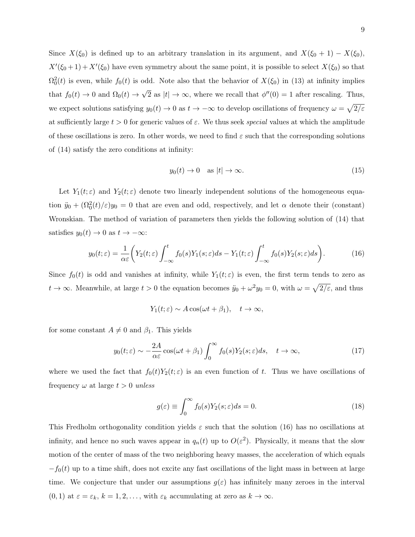Since  $X(\xi_0)$  is defined up to an arbitrary translation in its argument, and  $X(\xi_0 + 1) - X(\xi_0)$ ,  $X'(\xi_0+1) + X'(\xi_0)$  have even symmetry about the same point, it is possible to select  $X(\xi_0)$  so that  $\Omega_0^2(t)$  is even, while  $f_0(t)$  is odd. Note also that the behavior of  $X(\xi_0)$  in (13) at infinity implies that  $f_0(t) \to 0$  and  $\Omega_0(t) \to$ √  $\overline{2}$  as  $|t| \to \infty$ , where we recall that  $\phi''(0) = 1$  after rescaling. Thus, we expect solutions satisfying  $y_0(t) \to 0$  as  $t \to -\infty$  to develop oscillations of frequency  $\omega = \sqrt{2/\varepsilon}$ at sufficiently large  $t > 0$  for generic values of  $\varepsilon$ . We thus seek *special* values at which the amplitude of these oscillations is zero. In other words, we need to find  $\varepsilon$  such that the corresponding solutions of (14) satisfy the zero conditions at infinity:

$$
y_0(t) \to 0 \quad \text{as } |t| \to \infty. \tag{15}
$$

Let  $Y_1(t;\varepsilon)$  and  $Y_2(t;\varepsilon)$  denote two linearly independent solutions of the homogeneous equation  $\ddot{y}_0 + (\Omega_0^2(t)/\varepsilon)y_0 = 0$  that are even and odd, respectively, and let  $\alpha$  denote their (constant) Wronskian. The method of variation of parameters then yields the following solution of (14) that satisfies  $y_0(t) \to 0$  as  $t \to -\infty$ :

$$
y_0(t;\varepsilon) = \frac{1}{\alpha \varepsilon} \bigg( Y_2(t;\varepsilon) \int_{-\infty}^t f_0(s) Y_1(s;\varepsilon) ds - Y_1(t;\varepsilon) \int_{-\infty}^t f_0(s) Y_2(s;\varepsilon) ds \bigg). \tag{16}
$$

Since  $f_0(t)$  is odd and vanishes at infinity, while  $Y_1(t;\varepsilon)$  is even, the first term tends to zero as  $t \to \infty$ . Meanwhile, at large  $t > 0$  the equation becomes  $\ddot{y}_0 + \omega^2 y_0 = 0$ , with  $\omega = \sqrt{2/\varepsilon}$ , and thus

$$
Y_1(t; \varepsilon) \sim A \cos(\omega t + \beta_1), \quad t \to \infty,
$$

for some constant  $A \neq 0$  and  $\beta_1$ . This yields

$$
y_0(t;\varepsilon) \sim -\frac{2A}{\alpha \varepsilon} \cos(\omega t + \beta_1) \int_0^\infty f_0(s) Y_2(s;\varepsilon) ds, \quad t \to \infty,
$$
 (17)

where we used the fact that  $f_0(t)Y_2(t;\varepsilon)$  is an even function of t. Thus we have oscillations of frequency  $\omega$  at large  $t > 0$  unless

$$
g(\varepsilon) \equiv \int_0^\infty f_0(s) Y_2(s; \varepsilon) ds = 0.
$$
\n(18)

This Fredholm orthogonality condition yields  $\varepsilon$  such that the solution (16) has no oscillations at infinity, and hence no such waves appear in  $q_n(t)$  up to  $O(\varepsilon^2)$ . Physically, it means that the slow motion of the center of mass of the two neighboring heavy masses, the acceleration of which equals  $-f_0(t)$  up to a time shift, does not excite any fast oscillations of the light mass in between at large time. We conjecture that under our assumptions  $g(\varepsilon)$  has infinitely many zeroes in the interval  $(0, 1)$  at  $\varepsilon = \varepsilon_k$ ,  $k = 1, 2, \ldots$ , with  $\varepsilon_k$  accumulating at zero as  $k \to \infty$ .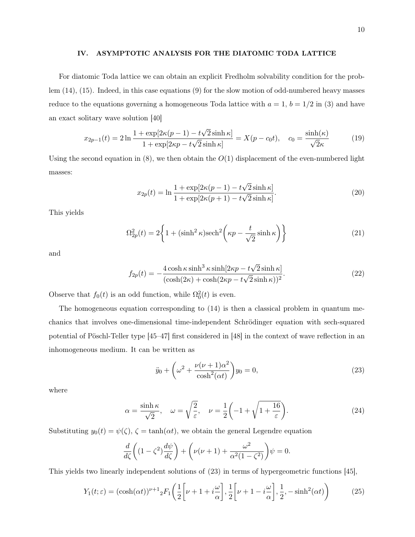#### IV. ASYMPTOTIC ANALYSIS FOR THE DIATOMIC TODA LATTICE

For diatomic Toda lattice we can obtain an explicit Fredholm solvability condition for the problem (14), (15). Indeed, in this case equations (9) for the slow motion of odd-numbered heavy masses reduce to the equations governing a homogeneous Toda lattice with  $a = 1$ ,  $b = 1/2$  in (3) and have an exact solitary wave solution [40]

$$
x_{2p-1}(t) = 2\ln\frac{1+\exp[2\kappa(p-1)-t\sqrt{2}\sinh\kappa]}{1+\exp[2\kappa p-t\sqrt{2}\sinh\kappa]} = X(p-c_0t), \quad c_0 = \frac{\sinh(\kappa)}{\sqrt{2}\kappa}
$$
(19)

Using the second equation in  $(8)$ , we then obtain the  $O(1)$  displacement of the even-numbered light masses:

$$
x_{2p}(t) = \ln \frac{1 + \exp[2\kappa(p-1) - t\sqrt{2}\sinh\kappa]}{1 + \exp[2\kappa(p+1) - t\sqrt{2}\sinh\kappa]}.
$$
\n(20)

This yields

$$
\Omega_{2p}^2(t) = 2\left\{1 + (\sinh^2 \kappa)\mathrm{sech}^2\left(\kappa p - \frac{t}{\sqrt{2}}\sinh \kappa\right)\right\} \tag{21}
$$

and

$$
f_{2p}(t) = -\frac{4\cosh\kappa\sinh^3\kappa\sinh[2\kappa p - t\sqrt{2}\sinh\kappa]}{(\cosh(2\kappa) + \cosh(2\kappa p - t\sqrt{2}\sinh\kappa))^2}.
$$
 (22)

Observe that  $f_0(t)$  is an odd function, while  $\Omega_0^2(t)$  is even.

The homogeneous equation corresponding to (14) is then a classical problem in quantum mechanics that involves one-dimensional time-independent Schrödinger equation with sech-squared potential of Pöschl-Teller type [45–47] first considered in [48] in the context of wave reflection in an inhomogeneous medium. It can be written as

$$
\ddot{y}_0 + \left(\omega^2 + \frac{\nu(\nu+1)\alpha^2}{\cosh^2(\alpha t)}\right)y_0 = 0,
$$
\n(23)

where

$$
\alpha = \frac{\sinh \kappa}{\sqrt{2}}, \quad \omega = \sqrt{\frac{2}{\varepsilon}}, \quad \nu = \frac{1}{2} \left( -1 + \sqrt{1 + \frac{16}{\varepsilon}} \right). \tag{24}
$$

Substituting  $y_0(t) = \psi(\zeta), \zeta = \tanh(\alpha t)$ , we obtain the general Legendre equation

$$
\frac{d}{d\zeta}\left((1-\zeta^2)\frac{d\psi}{d\zeta}\right) + \left(\nu(\nu+1) + \frac{\omega^2}{\alpha^2(1-\zeta^2)}\right)\psi = 0.
$$

This yields two linearly independent solutions of (23) in terms of hypergeometric functions [45],

$$
Y_1(t; \varepsilon) = (\cosh(\alpha t))^{\nu+1} {}_2F_1\left(\frac{1}{2}\left[\nu+1+i\frac{\omega}{\alpha}\right], \frac{1}{2}\left[\nu+1-i\frac{\omega}{\alpha}\right], \frac{1}{2}, -\sinh^2(\alpha t)\right) \tag{25}
$$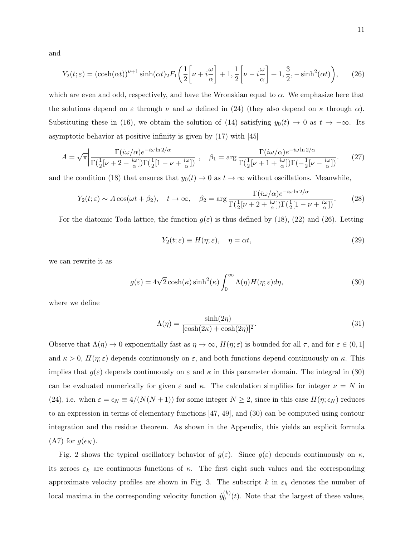and

$$
Y_2(t;\varepsilon) = (\cosh(\alpha t))^{\nu+1} \sinh(\alpha t)_2 F_1\left(\frac{1}{2}\left[\nu + i\frac{\omega}{\alpha}\right] + 1, \frac{1}{2}\left[\nu - i\frac{\omega}{\alpha}\right] + 1, \frac{3}{2}, -\sinh^2(\alpha t)\right),\tag{26}
$$

which are even and odd, respectively, and have the Wronskian equal to  $\alpha$ . We emphasize here that the solutions depend on  $\varepsilon$  through  $\nu$  and  $\omega$  defined in (24) (they also depend on  $\kappa$  through  $\alpha$ ). Substituting these in (16), we obtain the solution of (14) satisfying  $y_0(t) \to 0$  as  $t \to -\infty$ . Its asymptotic behavior at positive infinity is given by (17) with [45]

$$
A = \sqrt{\pi} \left| \frac{\Gamma(i\omega/\alpha)e^{-i\omega\ln 2/\alpha}}{\Gamma(\frac{1}{2}[\nu+2+\frac{i\omega}{\alpha}])\Gamma(\frac{1}{2}[1-\nu+\frac{i\omega}{\alpha}])} \right|, \quad \beta_1 = \arg\frac{\Gamma(i\omega/\alpha)e^{-i\omega\ln 2/\alpha}}{\Gamma(\frac{1}{2}[\nu+1+\frac{i\omega}{\alpha}])\Gamma(-\frac{1}{2}[\nu-\frac{i\omega}{\alpha}])}. \tag{27}
$$

and the condition (18) that ensures that  $y_0(t) \to 0$  as  $t \to \infty$  without oscillations. Meanwhile,

$$
Y_2(t;\varepsilon) \sim A\cos(\omega t + \beta_2), \quad t \to \infty, \quad \beta_2 = \arg\frac{\Gamma(i\omega/\alpha)e^{-i\omega\ln 2/\alpha}}{\Gamma(\frac{1}{2}[\nu + 2 + \frac{i\omega}{\alpha}])\Gamma(\frac{1}{2}[1 - \nu + \frac{i\omega}{\alpha}])}.
$$
(28)

For the diatomic Toda lattice, the function  $q(\varepsilon)$  is thus defined by (18), (22) and (26). Letting

$$
Y_2(t; \varepsilon) \equiv H(\eta; \varepsilon), \quad \eta = \alpha t,
$$
\n<sup>(29)</sup>

we can rewrite it as

$$
g(\varepsilon) = 4\sqrt{2}\cosh(\kappa)\sinh^2(\kappa)\int_0^\infty \Lambda(\eta)H(\eta;\varepsilon)d\eta,
$$
\n(30)

where we define

$$
\Lambda(\eta) = \frac{\sinh(2\eta)}{[\cosh(2\kappa) + \cosh(2\eta)]^2}.
$$
\n(31)

Observe that  $\Lambda(\eta) \to 0$  exponentially fast as  $\eta \to \infty$ ,  $H(\eta; \varepsilon)$  is bounded for all  $\tau$ , and for  $\varepsilon \in (0, 1]$ and  $\kappa > 0$ ,  $H(\eta; \varepsilon)$  depends continuously on  $\varepsilon$ , and both functions depend continuously on  $\kappa$ . This implies that  $g(\varepsilon)$  depends continuously on  $\varepsilon$  and  $\kappa$  in this parameter domain. The integral in (30) can be evaluated numerically for given  $\varepsilon$  and  $\kappa$ . The calculation simplifies for integer  $\nu = N$  in (24), i.e. when  $\varepsilon = \epsilon_N \equiv 4/(N(N+1))$  for some integer  $N \ge 2$ , since in this case  $H(\eta; \epsilon_N)$  reduces to an expression in terms of elementary functions [47, 49], and (30) can be computed using contour integration and the residue theorem. As shown in the Appendix, this yields an explicit formula (A7) for  $g(\epsilon_N)$ .

Fig. 2 shows the typical oscillatory behavior of  $g(\varepsilon)$ . Since  $g(\varepsilon)$  depends continuously on  $\kappa$ , its zeroes  $\varepsilon_k$  are continuous functions of  $\kappa$ . The first eight such values and the corresponding approximate velocity profiles are shown in Fig. 3. The subscript k in  $\varepsilon_k$  denotes the number of local maxima in the corresponding velocity function  $\dot{y}_0^{(k)}$  $\binom{K}{0}(t)$ . Note that the largest of these values,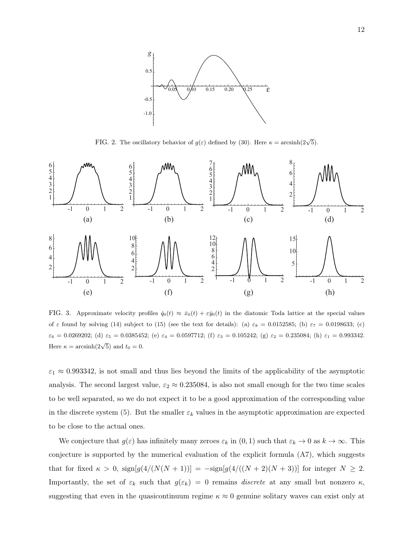

FIG. 2. The oscillatory behavior of  $g(\varepsilon)$  defined by (30). Here  $\kappa = \arcsinh(2\sqrt{5})$ .



FIG. 3. Approximate velocity profiles  $\dot{q}_0(t) \approx \dot{x}_0(t) + \varepsilon \dot{y}_0(t)$  in the diatomic Toda lattice at the special values of ε found by solving (14) subject to (15) (see the text for details): (a)  $\varepsilon_8 = 0.0152585$ ; (b)  $\varepsilon_7 = 0.0198633$ ; (c)  $\varepsilon_6 = 0.0269202$ ; (d)  $\varepsilon_5 = 0.0385452$ ; (e)  $\varepsilon_4 = 0.0597712$ ; (f)  $\varepsilon_3 = 0.105242$ ; (g)  $\varepsilon_2 = 0.235084$ ; (h)  $\varepsilon_1 = 0.993342$ . Here  $\kappa = \arcsinh(2\sqrt{5})$  and  $t_0 = 0$ .

 $\varepsilon_1 \approx 0.993342$ , is not small and thus lies beyond the limits of the applicability of the asymptotic analysis. The second largest value,  $\varepsilon_2 \approx 0.235084$ , is also not small enough for the two time scales to be well separated, so we do not expect it to be a good approximation of the corresponding value in the discrete system (5). But the smaller  $\varepsilon_k$  values in the asymptotic approximation are expected to be close to the actual ones.

We conjecture that  $g(\varepsilon)$  has infinitely many zeroes  $\varepsilon_k$  in  $(0, 1)$  such that  $\varepsilon_k \to 0$  as  $k \to \infty$ . This conjecture is supported by the numerical evaluation of the explicit formula  $(A7)$ , which suggests that for fixed  $\kappa > 0$ ,  $\text{sign}[g(4/(N(N+1))] = -\text{sign}[g(4/((N+2)(N+3))]$  for integer  $N \ge 2$ . Importantly, the set of  $\varepsilon_k$  such that  $g(\varepsilon_k) = 0$  remains *discrete* at any small but nonzero  $\kappa$ , suggesting that even in the quasicontinuum regime  $\kappa \approx 0$  genuine solitary waves can exist only at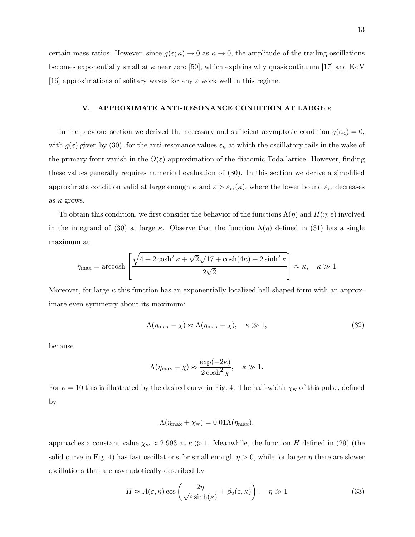certain mass ratios. However, since  $g(\varepsilon;\kappa) \to 0$  as  $\kappa \to 0$ , the amplitude of the trailing oscillations becomes exponentially small at  $\kappa$  near zero [50], which explains why quasicontinuum [17] and KdV [16] approximations of solitary waves for any  $\varepsilon$  work well in this regime.

# V. APPROXIMATE ANTI-RESONANCE CONDITION AT LARGE  $\kappa$

In the previous section we derived the necessary and sufficient asymptotic condition  $g(\varepsilon_n) = 0$ , with  $g(\varepsilon)$  given by (30), for the anti-resonance values  $\varepsilon_n$  at which the oscillatory tails in the wake of the primary front vanish in the  $O(\varepsilon)$  approximation of the diatomic Toda lattice. However, finding these values generally requires numerical evaluation of (30). In this section we derive a simplified approximate condition valid at large enough  $\kappa$  and  $\varepsilon > \varepsilon_{cr}(\kappa)$ , where the lower bound  $\varepsilon_{cr}$  decreases as  $\kappa$  grows.

To obtain this condition, we first consider the behavior of the functions  $\Lambda(\eta)$  and  $H(\eta;\varepsilon)$  involved in the integrand of (30) at large κ. Observe that the function  $\Lambda(\eta)$  defined in (31) has a single maximum at

$$
\eta_{\max} = \operatorname{arccosh}\left[\frac{\sqrt{4 + 2\cosh^2 \kappa + \sqrt{2}\sqrt{17 + \cosh(4\kappa)} + 2\sinh^2 \kappa}}{2\sqrt{2}}\right] \approx \kappa, \quad \kappa \gg 1
$$

Moreover, for large  $\kappa$  this function has an exponentially localized bell-shaped form with an approximate even symmetry about its maximum:

$$
\Lambda(\eta_{\text{max}} - \chi) \approx \Lambda(\eta_{\text{max}} + \chi), \quad \kappa \gg 1,
$$
\n(32)

because

$$
\Lambda(\eta_{\max} + \chi) \approx \frac{\exp(-2\kappa)}{2\cosh^2\chi}, \quad \kappa \gg 1.
$$

For  $\kappa = 10$  this is illustrated by the dashed curve in Fig. 4. The half-width  $\chi_w$  of this pulse, defined by

$$
\Lambda(\eta_{\text{max}} + \chi_{\text{w}}) = 0.01 \Lambda(\eta_{\text{max}}),
$$

approaches a constant value  $\chi_{w} \approx 2.993$  at  $\kappa \gg 1$ . Meanwhile, the function H defined in (29) (the solid curve in Fig. 4) has fast oscillations for small enough  $\eta > 0$ , while for larger  $\eta$  there are slower oscillations that are asymptotically described by

$$
H \approx A(\varepsilon, \kappa) \cos\left(\frac{2\eta}{\sqrt{\varepsilon}\sinh(\kappa)} + \beta_2(\varepsilon, \kappa)\right), \quad \eta \gg 1
$$
 (33)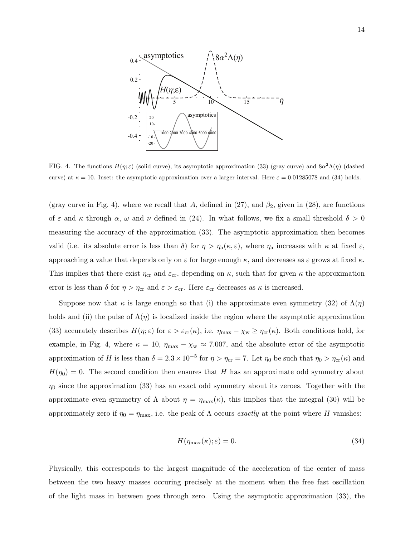

FIG. 4. The functions  $H(\eta;\varepsilon)$  (solid curve), its asymptotic approximation (33) (gray curve) and  $8\alpha^2\Lambda(\eta)$  (dashed curve) at  $\kappa = 10$ . Inset: the asymptotic approximation over a larger interval. Here  $\varepsilon = 0.01285078$  and (34) holds.

(gray curve in Fig. 4), where we recall that A, defined in (27), and  $\beta_2$ , given in (28), are functions of  $\varepsilon$  and  $\kappa$  through  $\alpha$ ,  $\omega$  and  $\nu$  defined in (24). In what follows, we fix a small threshold  $\delta > 0$ measuring the accuracy of the approximation (33). The asymptotic approximation then becomes valid (i.e. its absolute error is less than  $\delta$ ) for  $\eta > \eta_a(\kappa, \varepsilon)$ , where  $\eta_a$  increases with  $\kappa$  at fixed  $\varepsilon$ , approaching a value that depends only on  $\varepsilon$  for large enough  $\kappa$ , and decreases as  $\varepsilon$  grows at fixed  $\kappa$ . This implies that there exist  $\eta_{cr}$  and  $\varepsilon_{cr}$ , depending on  $\kappa$ , such that for given  $\kappa$  the approximation error is less than  $\delta$  for  $\eta > \eta_{cr}$  and  $\varepsilon > \varepsilon_{cr}$ . Here  $\varepsilon_{cr}$  decreases as  $\kappa$  is increased.

Suppose now that  $\kappa$  is large enough so that (i) the approximate even symmetry (32) of  $\Lambda(\eta)$ holds and (ii) the pulse of  $\Lambda(\eta)$  is localized inside the region where the asymptotic approximation (33) accurately describes  $H(\eta;\varepsilon)$  for  $\varepsilon > \varepsilon_{cr}(\kappa)$ , i.e.  $\eta_{max} - \chi_w \ge \eta_{cr}(\kappa)$ . Both conditions hold, for example, in Fig. 4, where  $\kappa = 10$ ,  $\eta_{\text{max}} - \chi_{\text{w}} \approx 7.007$ , and the absolute error of the asymptotic approximation of H is less than  $\delta = 2.3 \times 10^{-5}$  for  $\eta > \eta_{cr} = 7$ . Let  $\eta_0$  be such that  $\eta_0 > \eta_{cr}(\kappa)$  and  $H(\eta_0) = 0$ . The second condition then ensures that H has an approximate odd symmetry about  $\eta_0$  since the approximation (33) has an exact odd symmetry about its zeroes. Together with the approximate even symmetry of  $\Lambda$  about  $\eta = \eta_{\text{max}}(\kappa)$ , this implies that the integral (30) will be approximately zero if  $\eta_0 = \eta_{\text{max}}$ , i.e. the peak of  $\Lambda$  occurs *exactly* at the point where H vanishes:

$$
H(\eta_{\text{max}}(\kappa); \varepsilon) = 0. \tag{34}
$$

Physically, this corresponds to the largest magnitude of the acceleration of the center of mass between the two heavy masses occuring precisely at the moment when the free fast oscillation of the light mass in between goes through zero. Using the asymptotic approximation (33), the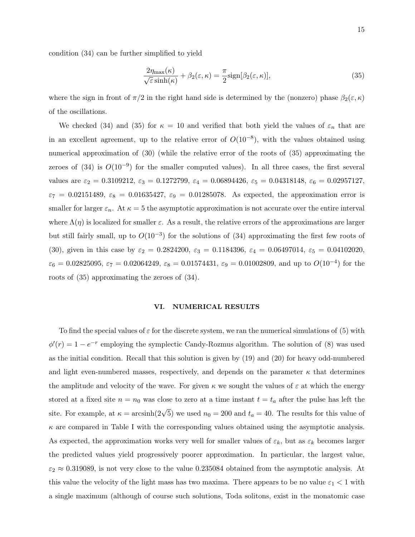condition (34) can be further simplified to yield

$$
\frac{2\eta_{\max}(\kappa)}{\sqrt{\varepsilon}\sinh(\kappa)} + \beta_2(\varepsilon, \kappa) = \frac{\pi}{2}\text{sign}[\beta_2(\varepsilon, \kappa)],\tag{35}
$$

where the sign in front of  $\pi/2$  in the right hand side is determined by the (nonzero) phase  $\beta_2(\varepsilon,\kappa)$ of the oscillations.

We checked (34) and (35) for  $\kappa = 10$  and verified that both yield the values of  $\varepsilon_n$  that are in an excellent agreement, up to the relative error of  $O(10^{-8})$ , with the values obtained using numerical approximation of (30) (while the relative error of the roots of (35) approximating the zeroes of (34) is  $O(10^{-9})$  for the smaller computed values). In all three cases, the first several values are  $\varepsilon_2 = 0.3109212$ ,  $\varepsilon_3 = 0.1272799$ ,  $\varepsilon_4 = 0.06894426$ ,  $\varepsilon_5 = 0.04318148$ ,  $\varepsilon_6 = 0.02957127$ ,  $\varepsilon_7 = 0.02151489$ ,  $\varepsilon_8 = 0.01635427$ ,  $\varepsilon_9 = 0.01285078$ . As expected, the approximation error is smaller for larger  $\varepsilon_n$ . At  $\kappa = 5$  the asymptotic approximation is not accurate over the entire interval where  $\Lambda(\eta)$  is localized for smaller  $\varepsilon$ . As a result, the relative errors of the approximations are larger but still fairly small, up to  $O(10^{-3})$  for the solutions of (34) approximating the first few roots of (30), given in this case by  $\varepsilon_2 = 0.2824200$ ,  $\varepsilon_3 = 0.1184396$ ,  $\varepsilon_4 = 0.06497014$ ,  $\varepsilon_5 = 0.04102020$ ,  $\varepsilon_6 = 0.02825095, \, \varepsilon_7 = 0.02064249, \, \varepsilon_8 = 0.01574431, \, \varepsilon_9 = 0.01002809, \, \text{and up to } O(10^{-4}) \text{ for the }$ roots of (35) approximating the zeroes of (34).

# VI. NUMERICAL RESULTS

To find the special values of  $\varepsilon$  for the discrete system, we ran the numerical simulations of (5) with  $\phi'(r) = 1 - e^{-r}$  employing the symplectic Candy-Rozmus algorithm. The solution of (8) was used as the initial condition. Recall that this solution is given by (19) and (20) for heavy odd-numbered and light even-numbered masses, respectively, and depends on the parameter  $\kappa$  that determines the amplitude and velocity of the wave. For given  $\kappa$  we sought the values of  $\varepsilon$  at which the energy stored at a fixed site  $n = n_0$  was close to zero at a time instant  $t = t_a$  after the pulse has left the site. For example, at  $\kappa = \arcsinh(2\sqrt{5})$  we used  $n_0 = 200$  and  $t_a = 40$ . The results for this value of  $\kappa$  are compared in Table I with the corresponding values obtained using the asymptotic analysis. As expected, the approximation works very well for smaller values of  $\varepsilon_k$ , but as  $\varepsilon_k$  becomes larger the predicted values yield progressively poorer approximation. In particular, the largest value,  $\varepsilon_2 \approx 0.319089$ , is not very close to the value 0.235084 obtained from the asymptotic analysis. At this value the velocity of the light mass has two maxima. There appears to be no value  $\varepsilon_1 < 1$  with a single maximum (although of course such solutions, Toda solitons, exist in the monatomic case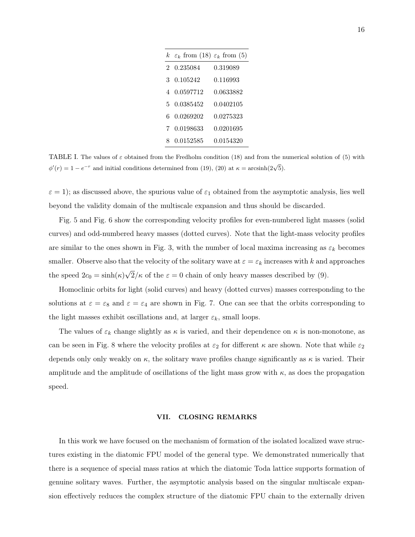|    | k $\varepsilon_k$ from (18) $\varepsilon_k$ from (5) |           |
|----|------------------------------------------------------|-----------|
|    | 2 0.235084                                           | 0.319089  |
| 3  | 0.105242                                             | 0.116993  |
| 4  | 0.0597712                                            | 0.0633882 |
| 5. | 0.0385452                                            | 0.0402105 |
|    | 6 0.0269202                                          | 0.0275323 |
| 7  | 0.0198633                                            | 0.0201695 |
| 8  | 0.0152585                                            | 0.0154320 |

TABLE I. The values of  $\varepsilon$  obtained from the Fredholm condition (18) and from the numerical solution of (5) with  $\phi'(r) = 1 - e^{-r}$  and initial conditions determined from (19), (20) at  $\kappa = \arcsin(2\sqrt{5})$ .

 $\varepsilon = 1$ ); as discussed above, the spurious value of  $\varepsilon_1$  obtained from the asymptotic analysis, lies well beyond the validity domain of the multiscale expansion and thus should be discarded.

Fig. 5 and Fig. 6 show the corresponding velocity profiles for even-numbered light masses (solid curves) and odd-numbered heavy masses (dotted curves). Note that the light-mass velocity profiles are similar to the ones shown in Fig. 3, with the number of local maxima increasing as  $\varepsilon_k$  becomes smaller. Observe also that the velocity of the solitary wave at  $\varepsilon = \varepsilon_k$  increases with k and approaches the speed  $2c_0 = \sinh(\kappa)$ √  $2/\kappa$  of the  $\varepsilon = 0$  chain of only heavy masses described by (9).

Homoclinic orbits for light (solid curves) and heavy (dotted curves) masses corresponding to the solutions at  $\varepsilon = \varepsilon_8$  and  $\varepsilon = \varepsilon_4$  are shown in Fig. 7. One can see that the orbits corresponding to the light masses exhibit oscillations and, at larger  $\varepsilon_k$ , small loops.

The values of  $\varepsilon_k$  change slightly as  $\kappa$  is varied, and their dependence on  $\kappa$  is non-monotone, as can be seen in Fig. 8 where the velocity profiles at  $\varepsilon_2$  for different  $\kappa$  are shown. Note that while  $\varepsilon_2$ depends only only weakly on  $\kappa$ , the solitary wave profiles change significantly as  $\kappa$  is varied. Their amplitude and the amplitude of oscillations of the light mass grow with  $\kappa$ , as does the propagation speed.

# VII. CLOSING REMARKS

In this work we have focused on the mechanism of formation of the isolated localized wave structures existing in the diatomic FPU model of the general type. We demonstrated numerically that there is a sequence of special mass ratios at which the diatomic Toda lattice supports formation of genuine solitary waves. Further, the asymptotic analysis based on the singular multiscale expansion effectively reduces the complex structure of the diatomic FPU chain to the externally driven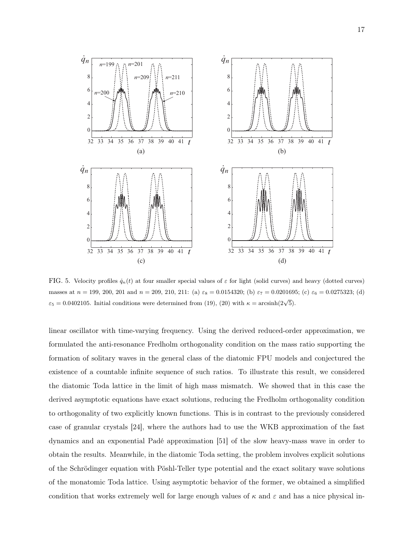

FIG. 5. Velocity profiles  $\dot{q}_n(t)$  at four smaller special values of  $\varepsilon$  for light (solid curves) and heavy (dotted curves) masses at  $n = 199, 200, 201$  and  $n = 209, 210, 211$ : (a)  $\varepsilon_8 = 0.0154320$ ; (b)  $\varepsilon_7 = 0.0201695$ ; (c)  $\varepsilon_6 = 0.0275323$ ; (d)  $\varepsilon_5 = 0.0402105$ . Initial conditions were determined from (19), (20) with  $\kappa = \arcsin(2\sqrt{5})$ .

linear oscillator with time-varying frequency. Using the derived reduced-order approximation, we formulated the anti-resonance Fredholm orthogonality condition on the mass ratio supporting the formation of solitary waves in the general class of the diatomic FPU models and conjectured the existence of a countable infinite sequence of such ratios. To illustrate this result, we considered the diatomic Toda lattice in the limit of high mass mismatch. We showed that in this case the derived asymptotic equations have exact solutions, reducing the Fredholm orthogonality condition to orthogonality of two explicitly known functions. This is in contrast to the previously considered case of granular crystals [24], where the authors had to use the WKB approximation of the fast dynamics and an exponential Padé approximation [51] of the slow heavy-mass wave in order to obtain the results. Meanwhile, in the diatomic Toda setting, the problem involves explicit solutions of the Schrödinger equation with Pöshl-Teller type potential and the exact solitary wave solutions of the monatomic Toda lattice. Using asymptotic behavior of the former, we obtained a simplified condition that works extremely well for large enough values of  $\kappa$  and  $\varepsilon$  and has a nice physical in-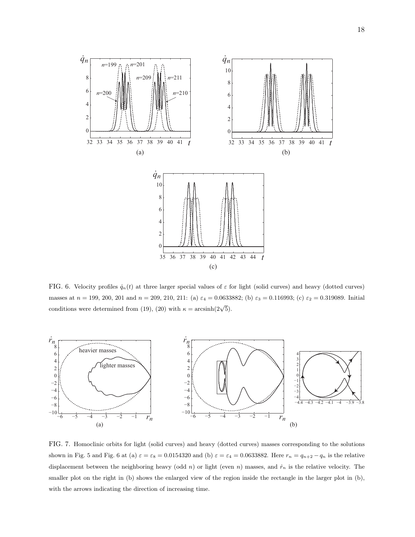

FIG. 6. Velocity profiles  $\dot{q}_n(t)$  at three larger special values of  $\varepsilon$  for light (solid curves) and heavy (dotted curves) masses at  $n = 199, 200, 201$  and  $n = 209, 210, 211$ : (a)  $\varepsilon_4 = 0.0633882$ ; (b)  $\varepsilon_3 = 0.116993$ ; (c)  $\varepsilon_2 = 0.319089$ . Initial conditions were determined from (19), (20) with  $\kappa = \arcsinh(2\sqrt{5})$ .



FIG. 7. Homoclinic orbits for light (solid curves) and heavy (dotted curves) masses corresponding to the solutions shown in Fig. 5 and Fig. 6 at (a)  $\varepsilon = \varepsilon_8 = 0.0154320$  and (b)  $\varepsilon = \varepsilon_4 = 0.0633882$ . Here  $r_n = q_{n+2} - q_n$  is the relative displacement between the neighboring heavy (odd n) or light (even n) masses, and  $\dot{r}_n$  is the relative velocity. The smaller plot on the right in (b) shows the enlarged view of the region inside the rectangle in the larger plot in (b), with the arrows indicating the direction of increasing time.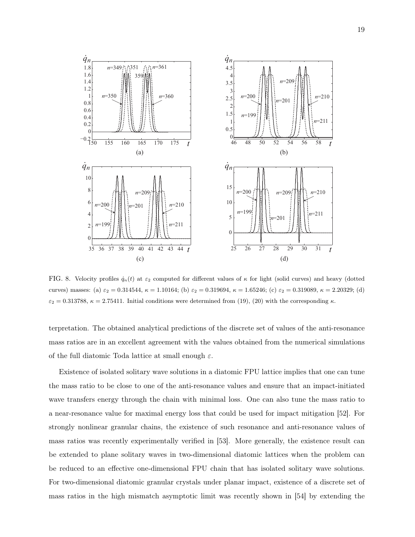

FIG. 8. Velocity profiles  $\dot{q}_n(t)$  at  $\varepsilon_2$  computed for different values of  $\kappa$  for light (solid curves) and heavy (dotted curves) masses: (a)  $\varepsilon_2 = 0.314544$ ,  $\kappa = 1.10164$ ; (b)  $\varepsilon_2 = 0.319694$ ,  $\kappa = 1.65246$ ; (c)  $\varepsilon_2 = 0.319089$ ,  $\kappa = 2.20329$ ; (d)  $\varepsilon_2 = 0.313788$ ,  $\kappa = 2.75411$ . Initial conditions were determined from (19), (20) with the corresponding  $\kappa$ .

terpretation. The obtained analytical predictions of the discrete set of values of the anti-resonance mass ratios are in an excellent agreement with the values obtained from the numerical simulations of the full diatomic Toda lattice at small enough  $\varepsilon$ .

Existence of isolated solitary wave solutions in a diatomic FPU lattice implies that one can tune the mass ratio to be close to one of the anti-resonance values and ensure that an impact-initiated wave transfers energy through the chain with minimal loss. One can also tune the mass ratio to a near-resonance value for maximal energy loss that could be used for impact mitigation [52]. For strongly nonlinear granular chains, the existence of such resonance and anti-resonance values of mass ratios was recently experimentally verified in [53]. More generally, the existence result can be extended to plane solitary waves in two-dimensional diatomic lattices when the problem can be reduced to an effective one-dimensional FPU chain that has isolated solitary wave solutions. For two-dimensional diatomic granular crystals under planar impact, existence of a discrete set of mass ratios in the high mismatch asymptotic limit was recently shown in [54] by extending the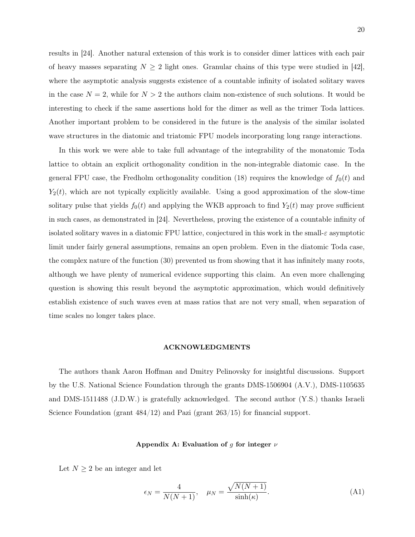results in [24]. Another natural extension of this work is to consider dimer lattices with each pair of heavy masses separating  $N \geq 2$  light ones. Granular chains of this type were studied in [42], where the asymptotic analysis suggests existence of a countable infinity of isolated solitary waves in the case  $N = 2$ , while for  $N > 2$  the authors claim non-existence of such solutions. It would be interesting to check if the same assertions hold for the dimer as well as the trimer Toda lattices. Another important problem to be considered in the future is the analysis of the similar isolated wave structures in the diatomic and triatomic FPU models incorporating long range interactions.

In this work we were able to take full advantage of the integrability of the monatomic Toda lattice to obtain an explicit orthogonality condition in the non-integrable diatomic case. In the general FPU case, the Fredholm orthogonality condition (18) requires the knowledge of  $f_0(t)$  and  $Y_2(t)$ , which are not typically explicitly available. Using a good approximation of the slow-time solitary pulse that yields  $f_0(t)$  and applying the WKB approach to find  $Y_2(t)$  may prove sufficient in such cases, as demonstrated in [24]. Nevertheless, proving the existence of a countable infinity of isolated solitary waves in a diatomic FPU lattice, conjectured in this work in the small- $\varepsilon$  asymptotic limit under fairly general assumptions, remains an open problem. Even in the diatomic Toda case, the complex nature of the function (30) prevented us from showing that it has infinitely many roots, although we have plenty of numerical evidence supporting this claim. An even more challenging question is showing this result beyond the asymptotic approximation, which would definitively establish existence of such waves even at mass ratios that are not very small, when separation of time scales no longer takes place.

## ACKNOWLEDGMENTS

The authors thank Aaron Hoffman and Dmitry Pelinovsky for insightful discussions. Support by the U.S. National Science Foundation through the grants DMS-1506904 (A.V.), DMS-1105635 and DMS-1511488 (J.D.W.) is gratefully acknowledged. The second author (Y.S.) thanks Israeli Science Foundation (grant  $484/12$ ) and Pazi (grant  $263/15$ ) for financial support.

### Appendix A: Evaluation of g for integer  $\nu$

Let  $N \geq 2$  be an integer and let

$$
\epsilon_N = \frac{4}{N(N+1)}, \quad \mu_N = \frac{\sqrt{N(N+1)}}{\sinh(\kappa)}.
$$
\n(A1)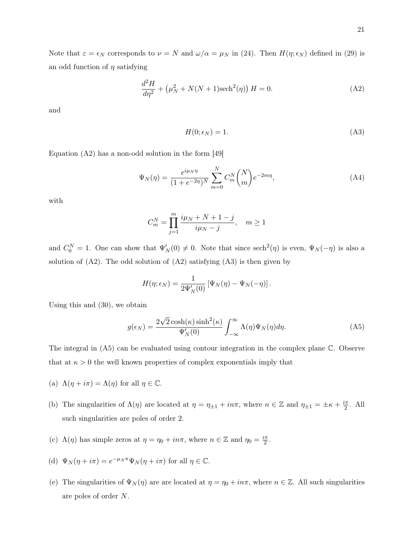Note that  $\varepsilon = \epsilon_N$  corresponds to  $\nu = N$  and  $\omega/\alpha = \mu_N$  in (24). Then  $H(\eta; \epsilon_N)$  defined in (29) is an odd function of  $\eta$  satisfying

$$
\frac{d^2H}{d\eta^2} + (\mu_N^2 + N(N+1)\text{sech}^2(\eta)) H = 0.
$$
 (A2)

and

$$
H(0; \epsilon_N) = 1. \tag{A3}
$$

Equation  $(A2)$  has a non-odd solution in the form  $[49]$ 

$$
\Psi_N(\eta) = \frac{e^{i\mu_N \eta}}{(1 + e^{-2\eta})^N} \sum_{m=0}^N C_m^N \binom{N}{m} e^{-2m\eta},\tag{A4}
$$

with

$$
C_m^N = \prod_{j=1}^m \frac{i\mu_N + N + 1 - j}{i\mu_N - j}, \quad m \ge 1
$$

and  $C_0^N = 1$ . One can show that  $\Psi_N'(0) \neq 0$ . Note that since  $\operatorname{sech}^2(\eta)$  is even,  $\Psi_N(-\eta)$  is also a solution of  $(A2)$ . The odd solution of  $(A2)$  satisfying  $(A3)$  is then given by

$$
H(\eta; \epsilon_N) = \frac{1}{2\Psi_N'(0)} \left[ \Psi_N(\eta) - \Psi_N(-\eta) \right].
$$

Using this and (30), we obtain

$$
g(\epsilon_N) = \frac{2\sqrt{2}\cosh(\kappa)\sinh^2(\kappa)}{\Psi_N'(0)} \int_{-\infty}^{\infty} \Lambda(\eta)\Psi_N(\eta)d\eta.
$$
 (A5)

The integral in (A5) can be evaluated using contour integration in the complex plane C. Observe that at  $\kappa > 0$  the well known properties of complex exponentials imply that

- (a)  $\Lambda(\eta + i\pi) = \Lambda(\eta)$  for all  $\eta \in \mathbb{C}$ .
- (b) The singularities of  $\Lambda(\eta)$  are located at  $\eta = \eta_{\pm 1} + i n \pi$ , where  $n \in \mathbb{Z}$  and  $\eta_{\pm 1} = \pm \kappa + \frac{i \pi}{2}$  $\frac{2\pi}{2}$ . All such singularities are poles of order 2.
- (c)  $\Lambda(\eta)$  has simple zeros at  $\eta = \eta_0 + in\pi$ , where  $n \in \mathbb{Z}$  and  $\eta_0 = \frac{i\pi}{2}$  $\frac{\pi}{2}$ .
- (d)  $\Psi_N(\eta + i\pi) = e^{-\mu_N \pi} \Psi_N(\eta + i\pi)$  for all  $\eta \in \mathbb{C}$ .
- (e) The singularities of  $\Psi_N(\eta)$  are are located at  $\eta = \eta_0 + in\pi$ , where  $n \in \mathbb{Z}$ . All such singularities are poles of order N.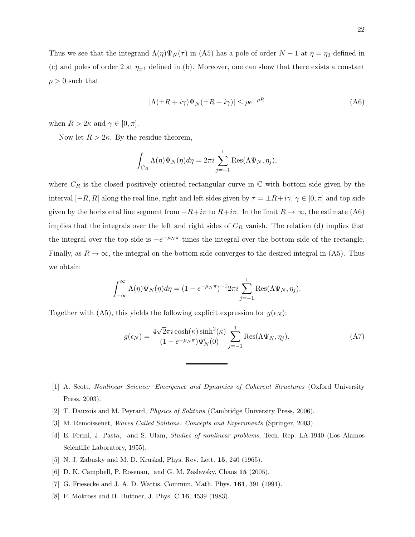Thus we see that the integrand  $\Lambda(\eta)\Psi_N(\tau)$  in (A5) has a pole of order  $N-1$  at  $\eta=\eta_0$  defined in (c) and poles of order 2 at  $\eta_{\pm 1}$  defined in (b). Moreover, one can show that there exists a constant  $\rho > 0$  such that

$$
|\Lambda(\pm R + i\gamma)\Psi_N(\pm R + i\gamma)| \le \rho e^{-\rho R}
$$
\n(A6)

when  $R > 2\kappa$  and  $\gamma \in [0, \pi]$ .

Now let  $R > 2\kappa$ . By the residue theorem,

$$
\int_{C_R} \Lambda(\eta) \Psi_N(\eta) d\eta = 2\pi i \sum_{j=-1}^1 \text{Res}(\Lambda \Psi_N, \eta_j),
$$

where  $C_R$  is the closed positively oriented rectangular curve in  $\mathbb C$  with bottom side given by the interval  $[-R, R]$  along the real line, right and left sides given by  $\tau = \pm R + i\gamma$ ,  $\gamma \in [0, \pi]$  and top side given by the horizontal line segment from  $-R+i\pi$  to  $R+i\pi$ . In the limit  $R\to\infty$ , the estimate (A6) implies that the integrals over the left and right sides of  $C_R$  vanish. The relation (d) implies that the integral over the top side is  $-e^{-\mu_N \pi}$  times the integral over the bottom side of the rectangle. Finally, as  $R \to \infty$ , the integral on the bottom side converges to the desired integral in (A5). Thus we obtain

$$
\int_{-\infty}^{\infty} \Lambda(\eta) \Psi_N(\eta) d\eta = (1 - e^{-\mu_N \pi})^{-1} 2\pi i \sum_{j=-1}^{1} \text{Res}(\Lambda \Psi_N, \eta_j).
$$

Together with (A5), this yields the following explicit expression for  $g(\epsilon_N)$ :

$$
g(\epsilon_N) = \frac{4\sqrt{2\pi i}\cosh(\kappa)\sinh^2(\kappa)}{(1 - e^{-\mu_N \pi})\Psi'_N(0)} \sum_{j=-1}^1 \text{Res}(\Lambda \Psi_N, \eta_j).
$$
 (A7)

- [1] A. Scott, Nonlinear Science: Emergence and Dynamics of Coherent Structures (Oxford University Press, 2003).
- [2] T. Dauxois and M. Peyrard, Physics of Solitons (Cambridge University Press, 2006).
- [3] M. Remoissenet, Waves Called Solitons: Concepts and Experiments (Springer, 2003).
- [4] E. Fermi, J. Pasta, and S. Ulam, Studies of nonlinear problems, Tech. Rep. LA-1940 (Los Alamos Scientific Laboratory, 1955).
- [5] N. J. Zabusky and M. D. Kruskal, Phys. Rev. Lett. 15, 240 (1965).
- [6] D. K. Campbell, P. Rosenau, and G. M. Zaslavsky, Chaos 15 (2005).
- [7] G. Friesecke and J. A. D. Wattis, Commun. Math. Phys. 161, 391 (1994).
- [8] F. Mokross and H. Buttner, J. Phys. C 16, 4539 (1983).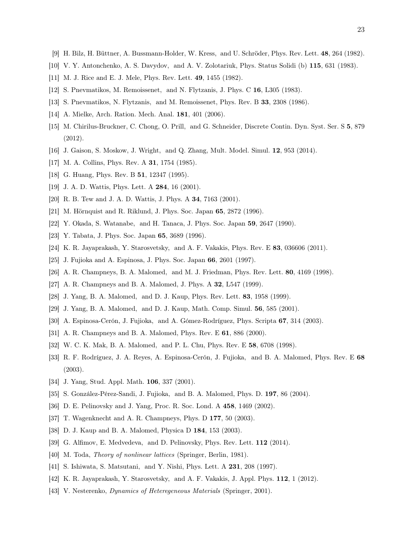- [9] H. Bilz, H. Büttner, A. Bussmann-Holder, W. Kress, and U. Schröder, Phys. Rev. Lett. 48, 264 (1982).
- [10] V. Y. Antonchenko, A. S. Davydov, and A. V. Zolotariuk, Phys. Status Solidi (b) 115, 631 (1983).
- [11] M. J. Rice and E. J. Mele, Phys. Rev. Lett. 49, 1455 (1982).
- [12] S. Pnevmatikos, M. Remoissenet, and N. Flytzanis, J. Phys. C 16, L305 (1983).
- [13] S. Pnevmatikos, N. Flytzanis, and M. Remoissenet, Phys. Rev. B 33, 2308 (1986).
- [14] A. Mielke, Arch. Ration. Mech. Anal. 181, 401 (2006).
- [15] M. Chirilus-Bruckner, C. Chong, O. Prill, and G. Schneider, Discrete Contin. Dyn. Syst. Ser. S 5, 879 (2012).
- [16] J. Gaison, S. Moskow, J. Wright, and Q. Zhang, Mult. Model. Simul. 12, 953 (2014).
- [17] M. A. Collins, Phys. Rev. A **31**, 1754 (1985).
- [18] G. Huang, Phys. Rev. B **51**, 12347 (1995).
- [19] J. A. D. Wattis, Phys. Lett. A 284, 16 (2001).
- [20] R. B. Tew and J. A. D. Wattis, J. Phys. A 34, 7163 (2001).
- [21] M. Hörnquist and R. Riklund, J. Phys. Soc. Japan 65, 2872 (1996).
- [22] Y. Okada, S. Watanabe, and H. Tanaca, J. Phys. Soc. Japan 59, 2647 (1990).
- [23] Y. Tabata, J. Phys. Soc. Japan 65, 3689 (1996).
- [24] K. R. Jayaprakash, Y. Starosvetsky, and A. F. Vakakis, Phys. Rev. E 83, 036606 (2011).
- [25] J. Fujioka and A. Espinosa, J. Phys. Soc. Japan 66, 2601 (1997).
- [26] A. R. Champneys, B. A. Malomed, and M. J. Friedman, Phys. Rev. Lett. 80, 4169 (1998).
- [27] A. R. Champneys and B. A. Malomed, J. Phys. A 32, L547 (1999).
- [28] J. Yang, B. A. Malomed, and D. J. Kaup, Phys. Rev. Lett. 83, 1958 (1999).
- [29] J. Yang, B. A. Malomed, and D. J. Kaup, Math. Comp. Simul. 56, 585 (2001).
- [30] A. Espinosa-Cerón, J. Fujioka, and A. Gómez-Rodríguez, Phys. Scripta 67, 314 (2003).
- [31] A. R. Champneys and B. A. Malomed, Phys. Rev. E **61**, 886 (2000).
- [32] W. C. K. Mak, B. A. Malomed, and P. L. Chu, Phys. Rev. E 58, 6708 (1998).
- [33] R. F. Rodríguez, J. A. Reyes, A. Espinosa-Cerón, J. Fujioka, and B. A. Malomed, Phys. Rev. E 68 (2003).
- [34] J. Yang, Stud. Appl. Math. 106, 337 (2001).
- [35] S. González-Pérez-Sandi, J. Fujioka, and B. A. Malomed, Phys. D. 197, 86 (2004).
- [36] D. E. Pelinovsky and J. Yang, Proc. R. Soc. Lond. A 458, 1469 (2002).
- [37] T. Wagenknecht and A. R. Champneys, Phys. D 177, 50 (2003).
- [38] D. J. Kaup and B. A. Malomed, Physica D 184, 153 (2003).
- [39] G. Alfimov, E. Medvedeva, and D. Pelinovsky, Phys. Rev. Lett. 112 (2014).
- [40] M. Toda, *Theory of nonlinear lattices* (Springer, Berlin, 1981).
- [41] S. Ishiwata, S. Matsutani, and Y. Nishi, Phys. Lett. A 231, 208 (1997).
- [42] K. R. Jayaprakash, Y. Starosvetsky, and A. F. Vakakis, J. Appl. Phys. 112, 1 (2012).
- [43] V. Nesterenko, *Dynamics of Heteregeneous Materials* (Springer, 2001).